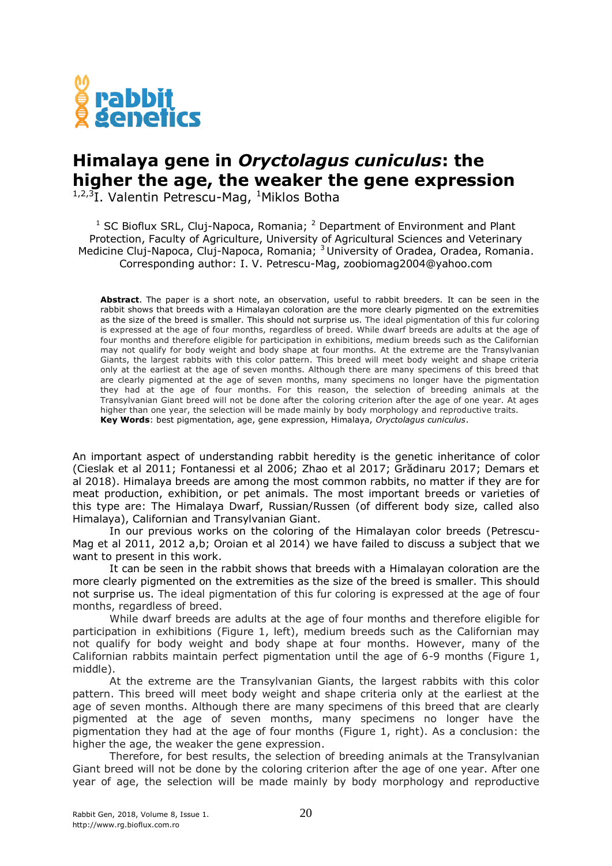

## **Himalaya gene in** *Oryctolagus cuniculus***: the higher the age, the weaker the gene expression**

 $1,2,3$ I. Valentin Petrescu-Mag,  $1$ Miklos Botha

 $1$  SC Bioflux SRL, Cluj-Napoca, Romania;  $2$  Department of Environment and Plant Protection, Faculty of Agriculture, University of Agricultural Sciences and Veterinary Medicine Cluj-Napoca, Cluj-Napoca, Romania; <sup>3</sup> University of Oradea, Oradea, Romania. Corresponding author: I. V. Petrescu-Mag, zoobiomag2004@yahoo.com

**Abstract**. The paper is a short note, an observation, useful to rabbit breeders. It can be seen in the rabbit shows that breeds with a Himalayan coloration are the more clearly pigmented on the extremities as the size of the breed is smaller. This should not surprise us. The ideal pigmentation of this fur coloring is expressed at the age of four months, regardless of breed. While dwarf breeds are adults at the age of four months and therefore eligible for participation in exhibitions, medium breeds such as the Californian may not qualify for body weight and body shape at four months. At the extreme are the Transylvanian Giants, the largest rabbits with this color pattern. This breed will meet body weight and shape criteria only at the earliest at the age of seven months. Although there are many specimens of this breed that are clearly pigmented at the age of seven months, many specimens no longer have the pigmentation they had at the age of four months. For this reason, the selection of breeding animals at the Transylvanian Giant breed will not be done after the coloring criterion after the age of one year. At ages higher than one year, the selection will be made mainly by body morphology and reproductive traits. **Key Words**: best pigmentation, age, gene expression, Himalaya, *Oryctolagus cuniculus*.

An important aspect of understanding rabbit heredity is the genetic inheritance of color (Cieslak et al 2011; Fontanessi et al 2006; Zhao et al 2017; Grădinaru 2017; Demars et al 2018). Himalaya breeds are among the most common rabbits, no matter if they are for meat production, exhibition, or pet animals. The most important breeds or varieties of this type are: The Himalaya Dwarf, Russian/Russen (of different body size, called also Himalaya), Californian and Transylvanian Giant.

In our previous works on the coloring of the Himalayan color breeds (Petrescu-Mag et al 2011, 2012 a,b; Oroian et al 2014) we have failed to discuss a subject that we want to present in this work.

It can be seen in the rabbit shows that breeds with a Himalayan coloration are the more clearly pigmented on the extremities as the size of the breed is smaller. This should not surprise us. The ideal pigmentation of this fur coloring is expressed at the age of four months, regardless of breed.

While dwarf breeds are adults at the age of four months and therefore eligible for participation in exhibitions (Figure 1, left), medium breeds such as the Californian may not qualify for body weight and body shape at four months. However, many of the Californian rabbits maintain perfect pigmentation until the age of 6-9 months (Figure 1, middle).

At the extreme are the Transylvanian Giants, the largest rabbits with this color pattern. This breed will meet body weight and shape criteria only at the earliest at the age of seven months. Although there are many specimens of this breed that are clearly pigmented at the age of seven months, many specimens no longer have the pigmentation they had at the age of four months (Figure 1, right). As a conclusion: the higher the age, the weaker the gene expression.

Therefore, for best results, the selection of breeding animals at the Transylvanian Giant breed will not be done by the coloring criterion after the age of one year. After one year of age, the selection will be made mainly by body morphology and reproductive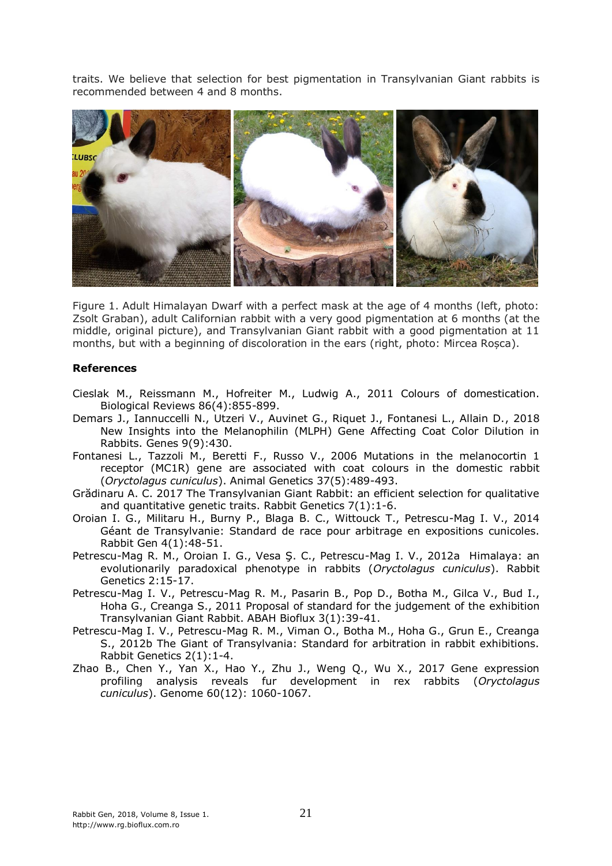traits. We believe that selection for best pigmentation in Transylvanian Giant rabbits is recommended between 4 and 8 months.



Figure 1. Adult Himalayan Dwarf with a perfect mask at the age of 4 months (left, photo: Zsolt Graban), adult Californian rabbit with a very good pigmentation at 6 months (at the middle, original picture), and Transylvanian Giant rabbit with a good pigmentation at 11 months, but with a beginning of discoloration in the ears (right, photo: Mircea Roșca).

## **References**

- Cieslak M., Reissmann M., Hofreiter M., Ludwig A., 2011 Colours of domestication. Biological Reviews 86(4):855-899.
- Demars J., Iannuccelli N., Utzeri V., Auvinet G., Riquet J., Fontanesi L., Allain D., 2018 New Insights into the Melanophilin (MLPH) Gene Affecting Coat Color Dilution in Rabbits. Genes 9(9):430.
- Fontanesi L., Tazzoli M., Beretti F., Russo V., 2006 Mutations in the melanocortin 1 receptor (MC1R) gene are associated with coat colours in the domestic rabbit (*Oryctolagus cuniculus*). Animal Genetics 37(5):489-493.
- Grădinaru A. C. 2017 The Transylvanian Giant Rabbit: an efficient selection for qualitative and quantitative genetic traits. Rabbit Genetics 7(1):1-6.
- Oroian I. G., Militaru H., Burny P., Blaga B. C., Wittouck T., Petrescu-Mag I. V., 2014 Géant de Transylvanie: Standard de race pour arbitrage en expositions cunicoles. Rabbit Gen 4(1):48-51.
- Petrescu-Mag R. M., Oroian I. G., Vesa Ş. C., Petrescu-Mag I. V., 2012a Himalaya: an evolutionarily paradoxical phenotype in rabbits (*Oryctolagus cuniculus*). Rabbit Genetics 2:15-17.
- Petrescu-Mag I. V., Petrescu-Mag R. M., Pasarin B., Pop D., Botha M., Gilca V., Bud I., Hoha G., Creanga S., 2011 Proposal of standard for the judgement of the exhibition Transylvanian Giant Rabbit. ABAH Bioflux 3(1):39-41.
- Petrescu-Mag I. V., Petrescu-Mag R. M., Viman O., Botha M., Hoha G., Grun E., Creanga S., 2012b The Giant of Transylvania: Standard for arbitration in rabbit exhibitions. Rabbit Genetics 2(1):1-4.
- Zhao B., Chen Y., Yan X., Hao Y., Zhu J., Weng Q., Wu X., 2017 Gene expression profiling analysis reveals fur development in rex rabbits (*Oryctolagus cuniculus*). Genome 60(12): 1060-1067.